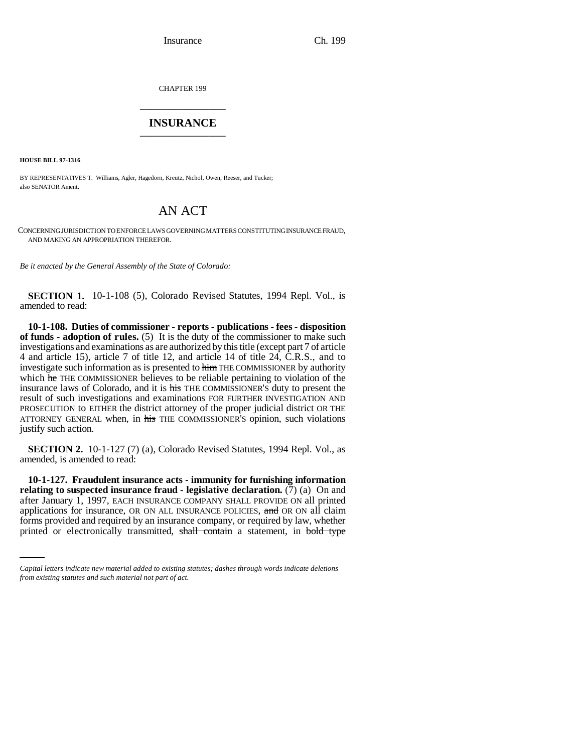Insurance Ch. 199

CHAPTER 199 \_\_\_\_\_\_\_\_\_\_\_\_\_\_\_

## **INSURANCE** \_\_\_\_\_\_\_\_\_\_\_\_\_\_\_

**HOUSE BILL 97-1316**

BY REPRESENTATIVES T. Williams, Agler, Hagedorn, Kreutz, Nichol, Owen, Reeser, and Tucker; also SENATOR Ament.

# AN ACT

CONCERNING JURISDICTION TO ENFORCE LAWS GOVERNING MATTERS CONSTITUTING INSURANCE FRAUD, AND MAKING AN APPROPRIATION THEREFOR.

*Be it enacted by the General Assembly of the State of Colorado:*

**SECTION 1.** 10-1-108 (5), Colorado Revised Statutes, 1994 Repl. Vol., is amended to read:

**10-1-108. Duties of commissioner - reports - publications - fees - disposition of funds - adoption of rules.** (5) It is the duty of the commissioner to make such investigations and examinations as are authorized by this title (except part 7 of article 4 and article 15), article 7 of title 12, and article 14 of title 24, C.R.S., and to investigate such information as is presented to him THE COMMISSIONER by authority which he THE COMMISSIONER believes to be reliable pertaining to violation of the insurance laws of Colorado, and it is his THE COMMISSIONER'S duty to present the result of such investigations and examinations FOR FURTHER INVESTIGATION AND PROSECUTION to EITHER the district attorney of the proper judicial district OR THE ATTORNEY GENERAL when, in his THE COMMISSIONER'S opinion, such violations justify such action.

**SECTION 2.** 10-1-127 (7) (a), Colorado Revised Statutes, 1994 Repl. Vol., as amended, is amended to read:

applications for insurance, OR ON ALL INSURANCE POLICIES, and OR ON all claim **10-1-127. Fraudulent insurance acts - immunity for furnishing information relating to suspected insurance fraud - legislative declaration.** (7) (a) On and after January 1, 1997, EACH INSURANCE COMPANY SHALL PROVIDE ON all printed forms provided and required by an insurance company, or required by law, whether printed or electronically transmitted, shall contain a statement, in bold type

*Capital letters indicate new material added to existing statutes; dashes through words indicate deletions from existing statutes and such material not part of act.*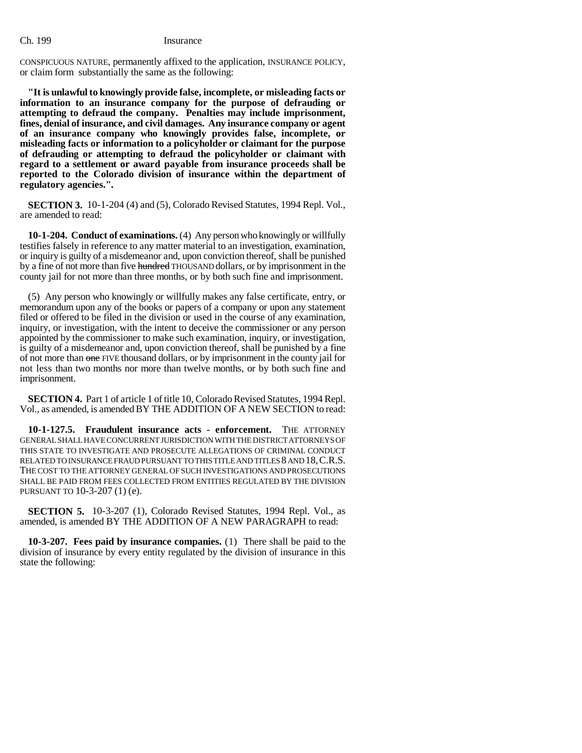CONSPICUOUS NATURE, permanently affixed to the application, INSURANCE POLICY, or claim form substantially the same as the following:

**"It is unlawful to knowingly provide false, incomplete, or misleading facts or information to an insurance company for the purpose of defrauding or attempting to defraud the company. Penalties may include imprisonment, fines, denial of insurance, and civil damages. Any insurance company or agent of an insurance company who knowingly provides false, incomplete, or misleading facts or information to a policyholder or claimant for the purpose of defrauding or attempting to defraud the policyholder or claimant with regard to a settlement or award payable from insurance proceeds shall be reported to the Colorado division of insurance within the department of regulatory agencies.".**

**SECTION 3.** 10-1-204 (4) and (5), Colorado Revised Statutes, 1994 Repl. Vol., are amended to read:

**10-1-204. Conduct of examinations.** (4) Any person who knowingly or willfully testifies falsely in reference to any matter material to an investigation, examination, or inquiry is guilty of a misdemeanor and, upon conviction thereof, shall be punished by a fine of not more than five hundred THOUSAND dollars, or by imprisonment in the county jail for not more than three months, or by both such fine and imprisonment.

(5) Any person who knowingly or willfully makes any false certificate, entry, or memorandum upon any of the books or papers of a company or upon any statement filed or offered to be filed in the division or used in the course of any examination, inquiry, or investigation, with the intent to deceive the commissioner or any person appointed by the commissioner to make such examination, inquiry, or investigation, is guilty of a misdemeanor and, upon conviction thereof, shall be punished by a fine of not more than one FIVE thousand dollars, or by imprisonment in the county jail for not less than two months nor more than twelve months, or by both such fine and imprisonment.

**SECTION 4.** Part 1 of article 1 of title 10, Colorado Revised Statutes, 1994 Repl. Vol., as amended, is amended BY THE ADDITION OF A NEW SECTION to read:

**10-1-127.5. Fraudulent insurance acts - enforcement.** THE ATTORNEY GENERAL SHALL HAVE CONCURRENT JURISDICTION WITH THE DISTRICT ATTORNEYS OF THIS STATE TO INVESTIGATE AND PROSECUTE ALLEGATIONS OF CRIMINAL CONDUCT RELATED TO INSURANCE FRAUD PURSUANT TO THIS TITLE AND TITLES 8 AND 18,C.R.S. THE COST TO THE ATTORNEY GENERAL OF SUCH INVESTIGATIONS AND PROSECUTIONS SHALL BE PAID FROM FEES COLLECTED FROM ENTITIES REGULATED BY THE DIVISION PURSUANT TO 10-3-207 (1) (e).

**SECTION 5.** 10-3-207 (1), Colorado Revised Statutes, 1994 Repl. Vol., as amended, is amended BY THE ADDITION OF A NEW PARAGRAPH to read:

**10-3-207. Fees paid by insurance companies.** (1) There shall be paid to the division of insurance by every entity regulated by the division of insurance in this state the following: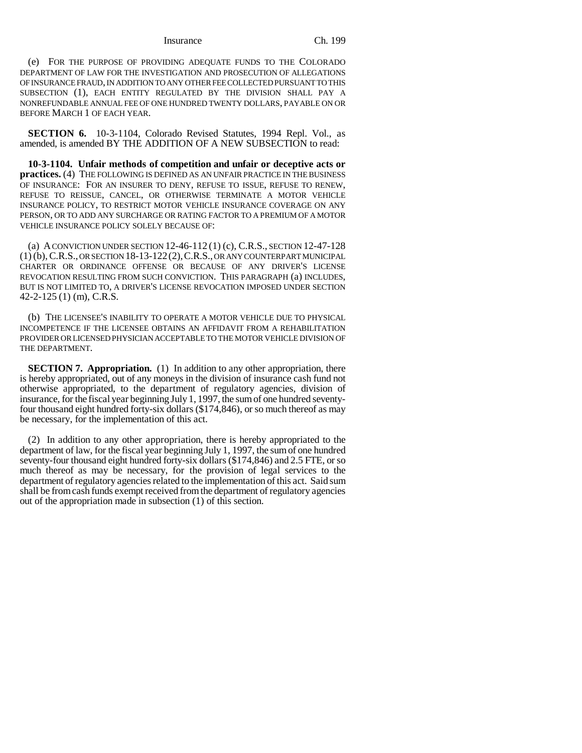### Insurance Ch. 199

(e) FOR THE PURPOSE OF PROVIDING ADEQUATE FUNDS TO THE COLORADO DEPARTMENT OF LAW FOR THE INVESTIGATION AND PROSECUTION OF ALLEGATIONS OF INSURANCE FRAUD, IN ADDITION TO ANY OTHER FEE COLLECTED PURSUANT TO THIS SUBSECTION (1), EACH ENTITY REGULATED BY THE DIVISION SHALL PAY A NONREFUNDABLE ANNUAL FEE OF ONE HUNDRED TWENTY DOLLARS, PAYABLE ON OR BEFORE MARCH 1 OF EACH YEAR.

**SECTION 6.** 10-3-1104, Colorado Revised Statutes, 1994 Repl. Vol., as amended, is amended BY THE ADDITION OF A NEW SUBSECTION to read:

**10-3-1104. Unfair methods of competition and unfair or deceptive acts or practices.** (4) THE FOLLOWING IS DEFINED AS AN UNFAIR PRACTICE IN THE BUSINESS OF INSURANCE: FOR AN INSURER TO DENY, REFUSE TO ISSUE, REFUSE TO RENEW, REFUSE TO REISSUE, CANCEL, OR OTHERWISE TERMINATE A MOTOR VEHICLE INSURANCE POLICY, TO RESTRICT MOTOR VEHICLE INSURANCE COVERAGE ON ANY PERSON, OR TO ADD ANY SURCHARGE OR RATING FACTOR TO A PREMIUM OF A MOTOR VEHICLE INSURANCE POLICY SOLELY BECAUSE OF:

(a) A CONVICTION UNDER SECTION 12-46-112 (1) (c), C.R.S., SECTION 12-47-128 (1) (b), C.R.S., OR SECTION 18-13-122(2),C.R.S., OR ANY COUNTERPART MUNICIPAL CHARTER OR ORDINANCE OFFENSE OR BECAUSE OF ANY DRIVER'S LICENSE REVOCATION RESULTING FROM SUCH CONVICTION. THIS PARAGRAPH (a) INCLUDES, BUT IS NOT LIMITED TO, A DRIVER'S LICENSE REVOCATION IMPOSED UNDER SECTION 42-2-125 (1) (m), C.R.S.

(b) THE LICENSEE'S INABILITY TO OPERATE A MOTOR VEHICLE DUE TO PHYSICAL INCOMPETENCE IF THE LICENSEE OBTAINS AN AFFIDAVIT FROM A REHABILITATION PROVIDER OR LICENSED PHYSICIAN ACCEPTABLE TO THE MOTOR VEHICLE DIVISION OF THE DEPARTMENT.

**SECTION 7. Appropriation.** (1) In addition to any other appropriation, there is hereby appropriated, out of any moneys in the division of insurance cash fund not otherwise appropriated, to the department of regulatory agencies, division of insurance, for the fiscal year beginning July 1, 1997, the sum of one hundred seventyfour thousand eight hundred forty-six dollars (\$174,846), or so much thereof as may be necessary, for the implementation of this act.

(2) In addition to any other appropriation, there is hereby appropriated to the department of law, for the fiscal year beginning July 1, 1997, the sum of one hundred seventy-four thousand eight hundred forty-six dollars (\$174,846) and 2.5 FTE, or so much thereof as may be necessary, for the provision of legal services to the department of regulatory agencies related to the implementation of this act. Said sum shall be from cash funds exempt received from the department of regulatory agencies out of the appropriation made in subsection (1) of this section.